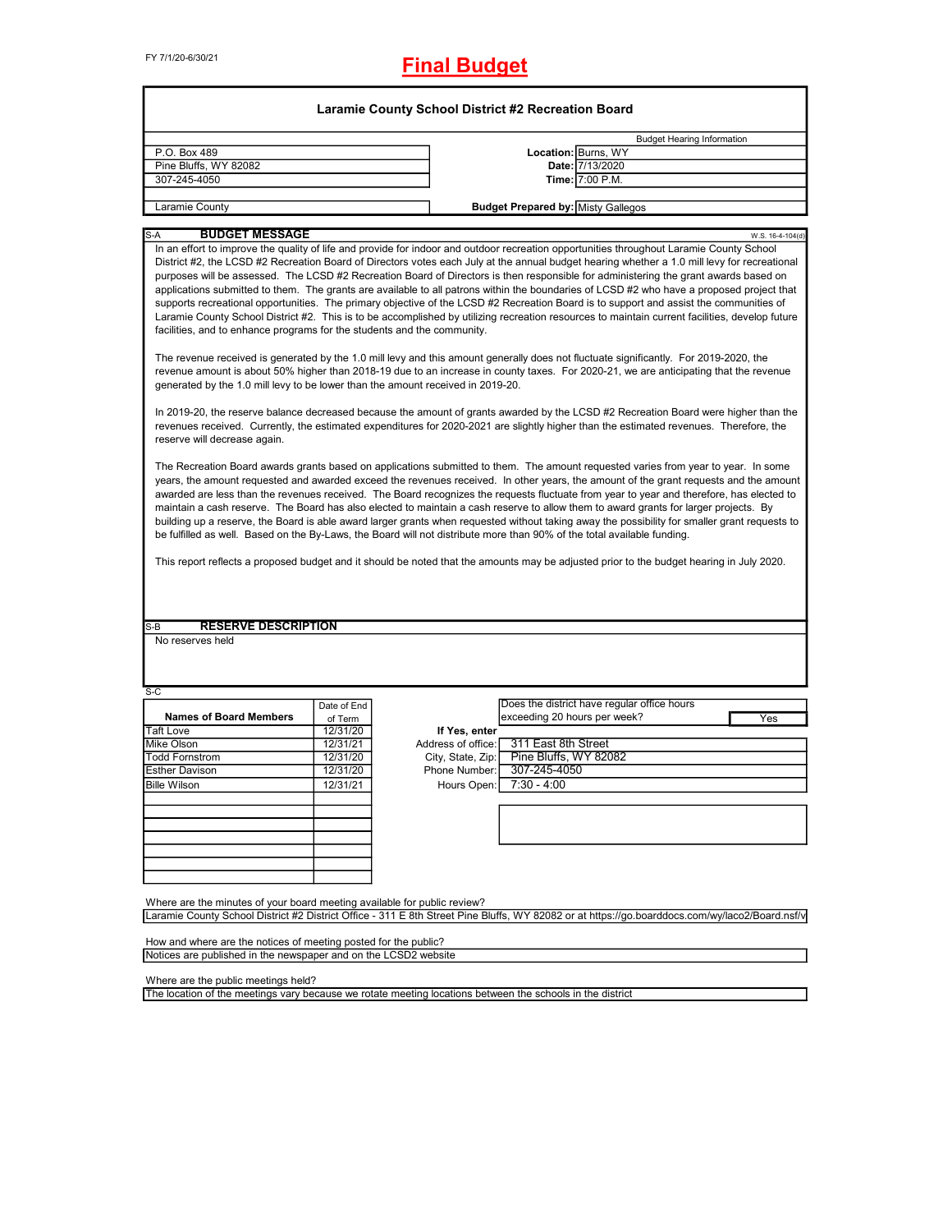FY 7/1/20-6/30/21

**Final Budget**

|                                                                                                                                                                                                                                                                                                                                                          |             |                    | <b>Budget Hearing Information</b>                                                                                                                                                                                                                                                                                                                                                                                                                                                                                                                                                                                                                                                                                             |                  |
|----------------------------------------------------------------------------------------------------------------------------------------------------------------------------------------------------------------------------------------------------------------------------------------------------------------------------------------------------------|-------------|--------------------|-------------------------------------------------------------------------------------------------------------------------------------------------------------------------------------------------------------------------------------------------------------------------------------------------------------------------------------------------------------------------------------------------------------------------------------------------------------------------------------------------------------------------------------------------------------------------------------------------------------------------------------------------------------------------------------------------------------------------------|------------------|
| P.O. Box 489                                                                                                                                                                                                                                                                                                                                             |             |                    | Location: Burns, WY                                                                                                                                                                                                                                                                                                                                                                                                                                                                                                                                                                                                                                                                                                           |                  |
| Pine Bluffs, WY 82082                                                                                                                                                                                                                                                                                                                                    |             |                    | Date: 7/13/2020                                                                                                                                                                                                                                                                                                                                                                                                                                                                                                                                                                                                                                                                                                               |                  |
| 307-245-4050                                                                                                                                                                                                                                                                                                                                             |             |                    | Time: 7:00 P.M.                                                                                                                                                                                                                                                                                                                                                                                                                                                                                                                                                                                                                                                                                                               |                  |
| Laramie County                                                                                                                                                                                                                                                                                                                                           |             |                    | <b>Budget Prepared by: Misty Gallegos</b>                                                                                                                                                                                                                                                                                                                                                                                                                                                                                                                                                                                                                                                                                     |                  |
|                                                                                                                                                                                                                                                                                                                                                          |             |                    |                                                                                                                                                                                                                                                                                                                                                                                                                                                                                                                                                                                                                                                                                                                               |                  |
| <b>BUDGET MESSAGE</b><br>S-A                                                                                                                                                                                                                                                                                                                             |             |                    | In an effort to improve the quality of life and provide for indoor and outdoor recreation opportunities throughout Laramie County School                                                                                                                                                                                                                                                                                                                                                                                                                                                                                                                                                                                      | W.S. 16-4-104(d) |
| facilities, and to enhance programs for the students and the community.                                                                                                                                                                                                                                                                                  |             |                    | District #2, the LCSD #2 Recreation Board of Directors votes each July at the annual budget hearing whether a 1.0 mill levy for recreational<br>purposes will be assessed. The LCSD #2 Recreation Board of Directors is then responsible for administering the grant awards based on<br>applications submitted to them. The grants are available to all patrons within the boundaries of LCSD #2 who have a proposed project that<br>supports recreational opportunities. The primary objective of the LCSD #2 Recreation Board is to support and assist the communities of<br>Laramie County School District #2. This is to be accomplished by utilizing recreation resources to maintain current facilities, develop future |                  |
| generated by the 1.0 mill levy to be lower than the amount received in 2019-20.                                                                                                                                                                                                                                                                          |             |                    | The revenue received is generated by the 1.0 mill levy and this amount generally does not fluctuate significantly. For 2019-2020, the<br>revenue amount is about 50% higher than 2018-19 due to an increase in county taxes. For 2020-21, we are anticipating that the revenue                                                                                                                                                                                                                                                                                                                                                                                                                                                |                  |
| reserve will decrease again.                                                                                                                                                                                                                                                                                                                             |             |                    | In 2019-20, the reserve balance decreased because the amount of grants awarded by the LCSD #2 Recreation Board were higher than the<br>revenues received. Currently, the estimated expenditures for 2020-2021 are slightly higher than the estimated revenues. Therefore, the                                                                                                                                                                                                                                                                                                                                                                                                                                                 |                  |
|                                                                                                                                                                                                                                                                                                                                                          |             |                    | maintain a cash reserve. The Board has also elected to maintain a cash reserve to allow them to award grants for larger projects. By<br>building up a reserve, the Board is able award larger grants when requested without taking away the possibility for smaller grant requests to                                                                                                                                                                                                                                                                                                                                                                                                                                         |                  |
| <b>RESERVE DESCRIPTION</b>                                                                                                                                                                                                                                                                                                                               |             |                    | be fulfilled as well. Based on the By-Laws, the Board will not distribute more than 90% of the total available funding.<br>This report reflects a proposed budget and it should be noted that the amounts may be adjusted prior to the budget hearing in July 2020.                                                                                                                                                                                                                                                                                                                                                                                                                                                           |                  |
|                                                                                                                                                                                                                                                                                                                                                          |             |                    |                                                                                                                                                                                                                                                                                                                                                                                                                                                                                                                                                                                                                                                                                                                               |                  |
|                                                                                                                                                                                                                                                                                                                                                          | Date of End |                    | Does the district have regular office hours                                                                                                                                                                                                                                                                                                                                                                                                                                                                                                                                                                                                                                                                                   |                  |
| <b>Names of Board Members</b>                                                                                                                                                                                                                                                                                                                            | of Term     |                    | exceeding 20 hours per week?                                                                                                                                                                                                                                                                                                                                                                                                                                                                                                                                                                                                                                                                                                  | Yes              |
|                                                                                                                                                                                                                                                                                                                                                          | 12/31/20    | If Yes, enter      |                                                                                                                                                                                                                                                                                                                                                                                                                                                                                                                                                                                                                                                                                                                               |                  |
|                                                                                                                                                                                                                                                                                                                                                          | 12/31/21    | Address of office: | 311 East 8th Street                                                                                                                                                                                                                                                                                                                                                                                                                                                                                                                                                                                                                                                                                                           |                  |
|                                                                                                                                                                                                                                                                                                                                                          | 12/31/20    | City, State, Zip:  | Pine Bluffs, WY 82082                                                                                                                                                                                                                                                                                                                                                                                                                                                                                                                                                                                                                                                                                                         |                  |
|                                                                                                                                                                                                                                                                                                                                                          | 12/31/20    | Phone Number:      | 307-245-4050                                                                                                                                                                                                                                                                                                                                                                                                                                                                                                                                                                                                                                                                                                                  |                  |
|                                                                                                                                                                                                                                                                                                                                                          | 12/31/21    | Hours Open:        | $7:30 - 4:00$                                                                                                                                                                                                                                                                                                                                                                                                                                                                                                                                                                                                                                                                                                                 |                  |
|                                                                                                                                                                                                                                                                                                                                                          |             |                    |                                                                                                                                                                                                                                                                                                                                                                                                                                                                                                                                                                                                                                                                                                                               |                  |
|                                                                                                                                                                                                                                                                                                                                                          |             |                    |                                                                                                                                                                                                                                                                                                                                                                                                                                                                                                                                                                                                                                                                                                                               |                  |
|                                                                                                                                                                                                                                                                                                                                                          |             |                    |                                                                                                                                                                                                                                                                                                                                                                                                                                                                                                                                                                                                                                                                                                                               |                  |
|                                                                                                                                                                                                                                                                                                                                                          |             |                    |                                                                                                                                                                                                                                                                                                                                                                                                                                                                                                                                                                                                                                                                                                                               |                  |
|                                                                                                                                                                                                                                                                                                                                                          |             |                    |                                                                                                                                                                                                                                                                                                                                                                                                                                                                                                                                                                                                                                                                                                                               |                  |
|                                                                                                                                                                                                                                                                                                                                                          |             |                    | Laramie County School District #2 District Office - 311 E 8th Street Pine Bluffs, WY 82082 or at https://go.boarddocs.com/wy/laco2/Board.nsf/v                                                                                                                                                                                                                                                                                                                                                                                                                                                                                                                                                                                |                  |
| $S-B$<br>No reserves held<br>$S-C$<br><b>Taft Love</b><br>Mike Olson<br><b>Todd Fornstrom</b><br>Esther Davison<br><b>Bille Wilson</b><br>Where are the minutes of your board meeting available for public review?<br>How and where are the notices of meeting posted for the public?<br>Notices are published in the newspaper and on the LCSD2 website |             |                    |                                                                                                                                                                                                                                                                                                                                                                                                                                                                                                                                                                                                                                                                                                                               |                  |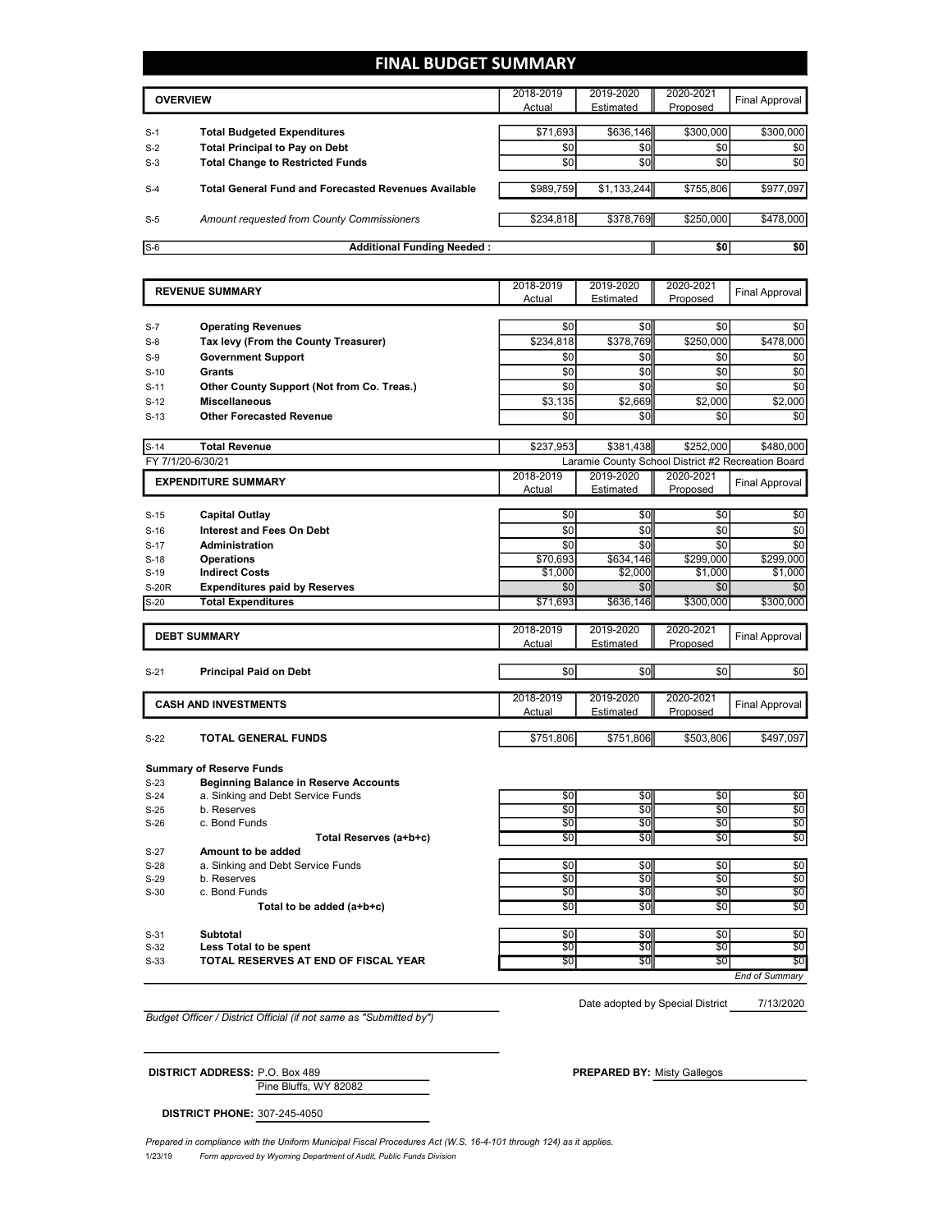### **FINAL BUDGET SUMMARY**

|       | <b>OVERVIEW</b>                                             |           | 2019-2020   | 2020-2021 | Final Approval |
|-------|-------------------------------------------------------------|-----------|-------------|-----------|----------------|
|       |                                                             | Actual    | Estimated   | Proposed  |                |
|       |                                                             |           |             |           |                |
| $S-1$ | <b>Total Budgeted Expenditures</b>                          | \$71,693  | \$636,146   | \$300,000 | \$300,000      |
| $S-2$ | <b>Total Principal to Pay on Debt</b>                       | \$0       | <b>\$0</b>  | \$0       | \$0            |
| $S-3$ | <b>Total Change to Restricted Funds</b>                     | \$0       | \$0         | 30        | \$0            |
| $S-4$ | <b>Total General Fund and Forecasted Revenues Available</b> | \$989,759 | \$1,133,244 | \$755,806 | \$977,097      |
| $S-5$ | Amount requested from County Commissioners                  | \$234,818 | \$378,769   | \$250,000 | \$478,000      |
| $S-6$ | <b>Additional Funding Needed:</b>                           |           |             | \$0       | \$0            |

|                                 | <b>REVENUE SUMMARY</b>                       |            | 2019-2020                                          | 2020-2021             | Final Approval        |
|---------------------------------|----------------------------------------------|------------|----------------------------------------------------|-----------------------|-----------------------|
| Actual<br>Estimated<br>Proposed |                                              |            |                                                    |                       |                       |
|                                 |                                              |            |                                                    |                       |                       |
| S-7                             | <b>Operating Revenues</b>                    | \$0        | \$0                                                | \$0                   | \$0                   |
| $S-8$                           | Tax levy (From the County Treasurer)         | \$234,818  | \$378,769                                          | \$250,000             | \$478,000             |
| $S-9$                           | <b>Government Support</b>                    | \$0        | \$0                                                | \$0                   | \$0                   |
| $S-10$                          | <b>Grants</b>                                | \$0        | \$0                                                | \$0                   | \$0                   |
| $S-11$                          | Other County Support (Not from Co. Treas.)   | \$0        | \$0                                                | \$0                   | \$0                   |
| $S-12$                          | <b>Miscellaneous</b>                         | \$3,135    | \$2,669                                            | \$2,000               | \$2,000               |
| $S-13$                          | <b>Other Forecasted Revenue</b>              | \$0        | \$0                                                | \$0                   | \$0                   |
|                                 |                                              |            |                                                    |                       |                       |
| $S-14$                          | <b>Total Revenue</b>                         | \$237,953  | \$381,438                                          | \$252,000             | \$480,000             |
|                                 | FY 7/1/20-6/30/21                            |            | Laramie County School District #2 Recreation Board |                       |                       |
|                                 | <b>EXPENDITURE SUMMARY</b>                   | 2018-2019  | 2019-2020                                          | 2020-2021             | Final Approval        |
|                                 |                                              | Actual     | <b>Estimated</b>                                   | Proposed              |                       |
|                                 |                                              |            |                                                    |                       |                       |
| $S-15$                          | <b>Capital Outlay</b>                        | \$0        | \$0                                                | \$0                   | \$0                   |
| $S-16$                          | <b>Interest and Fees On Debt</b>             | \$0        | \$0                                                | \$0                   | \$0                   |
| $S-17$                          | <b>Administration</b>                        | \$0        | \$0                                                | \$0                   | \$0                   |
| $S-18$                          | <b>Operations</b>                            | \$70,693   | \$634,146                                          | \$299,000             | \$299,000             |
| $S-19$                          | <b>Indirect Costs</b>                        | \$1,000    | \$2,000                                            | \$1,000               | \$1,000               |
| <b>S-20R</b>                    | <b>Expenditures paid by Reserves</b>         | \$0        | \$0                                                | \$0                   | \$0                   |
| $S-20$                          | <b>Total Expenditures</b>                    | \$71,693   | \$636,146                                          | \$300,000             | \$300,000             |
|                                 |                                              |            |                                                    |                       |                       |
|                                 | <b>DEBT SUMMARY</b>                          | 2018-2019  | 2019-2020                                          | 2020-2021<br>Proposed | <b>Final Approval</b> |
|                                 |                                              | Actual     | Estimated                                          |                       |                       |
| $S-21$                          | <b>Principal Paid on Debt</b>                | \$0        | \$0                                                | \$0                   | \$0                   |
|                                 |                                              |            |                                                    |                       |                       |
|                                 |                                              | 2018-2019  | 2019-2020                                          | 2020-2021             |                       |
|                                 | <b>CASH AND INVESTMENTS</b>                  | Actual     | Estimated                                          | Proposed              | Final Approval        |
|                                 |                                              |            |                                                    |                       |                       |
| $S-22$                          | <b>TOTAL GENERAL FUNDS</b>                   | \$751,806  | \$751,806                                          | \$503,806             | \$497,097             |
|                                 |                                              |            |                                                    |                       |                       |
|                                 | <b>Summary of Reserve Funds</b>              |            |                                                    |                       |                       |
| $S-23$                          | <b>Beginning Balance in Reserve Accounts</b> |            |                                                    |                       |                       |
| $S-24$                          | a. Sinking and Debt Service Funds            | \$0        | \$0                                                | \$0                   | \$0                   |
| $S-25$                          | b. Reserves                                  | $\sqrt{6}$ | \$0                                                | \$0                   | \$0                   |
| $S-26$                          | c. Bond Funds                                | \$0        | \$0                                                | $\sqrt{50}$           | \$0                   |
|                                 | Total Reserves (a+b+c)                       | \$0        | \$0                                                | \$0                   | \$0                   |
| $S-27$                          | Amount to be added                           |            |                                                    |                       |                       |
| $S-28$                          | a. Sinking and Debt Service Funds            | $\sqrt{6}$ | \$0                                                | $\sqrt{50}$           | $\frac{6}{3}$         |
| $S-29$                          | b. Reserves                                  | \$0        | \$0                                                | \$0                   | \$0                   |
| $S-30$                          | c. Bond Funds                                | \$0        | \$0                                                | \$0                   | \$0                   |
|                                 |                                              | \$0        | \$0                                                | \$0                   | \$0                   |
|                                 | Total to be added (a+b+c)                    |            |                                                    |                       |                       |
| $S-31$                          | <b>Subtotal</b>                              | \$0        | \$0                                                | \$0                   | \$0                   |

S-32 **Less Total to be spent** \$0 \$0 \$0 \$0

S-33 **TOTAL RESERVES AT END OF FISCAL YEAR** \$0 \$0 \$0 \$0 \$0 \$0 \$0 \$0

Date adopted by Special District

7/13/2020

*End of Summary*

*Budget Officer / District Official (if not same as "Submitted by")*

Pine Bluffs, WY 82082 **DISTRICT ADDRESS:** P.O. Box 489 **PREPARED BY:** Misty Gallegos

**DISTRICT PHONE:** 307-245-4050

1/23/19 *Form approved by Wyoming Department of Audit, Public Funds Division Prepared in compliance with the Uniform Municipal Fiscal Procedures Act (W.S. 16-4-101 through 124) as it applies.*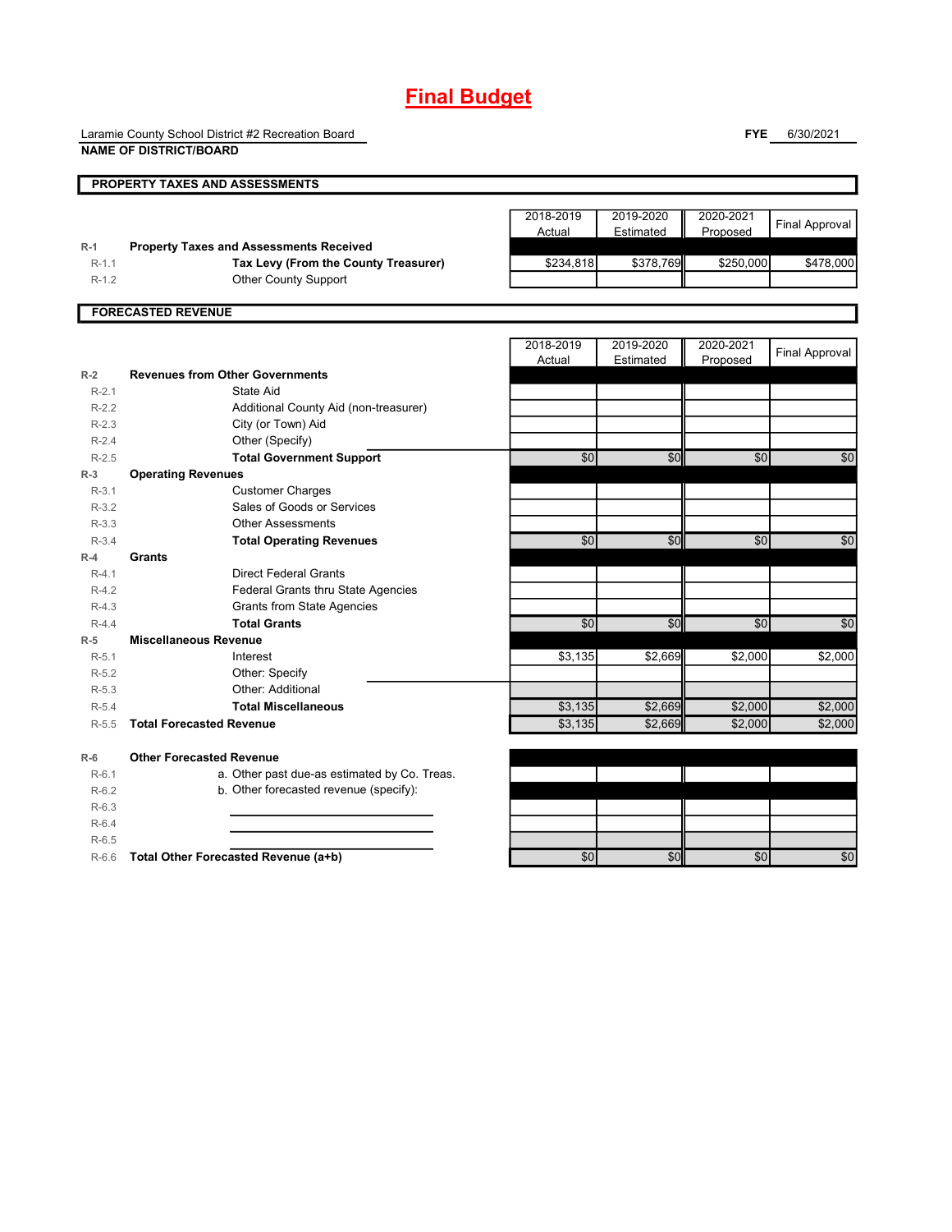# **Final Budget**

Laramie County School District #2 Recreation Board **NAME OF DISTRICT/BOARD**

**FYE** 6/30/2021

|                    | <b>PROPERTY TAXES AND ASSESSMENTS</b>                 |             |           |           |                       |
|--------------------|-------------------------------------------------------|-------------|-----------|-----------|-----------------------|
|                    |                                                       | 2018-2019   | 2019-2020 | 2020-2021 |                       |
|                    |                                                       | Actual      | Estimated | Proposed  | <b>Final Approval</b> |
| $R-1$              | <b>Property Taxes and Assessments Received</b>        |             |           |           |                       |
| $R-1.1$            | Tax Levy (From the County Treasurer)                  | \$234,818   | \$378,769 | \$250,000 | \$478,000             |
| $R-1.2$            | <b>Other County Support</b>                           |             |           |           |                       |
|                    | <b>FORECASTED REVENUE</b>                             |             |           |           |                       |
|                    |                                                       |             |           |           |                       |
|                    |                                                       | 2018-2019   | 2019-2020 | 2020-2021 | <b>Final Approval</b> |
|                    |                                                       | Actual      | Estimated | Proposed  |                       |
| $R-2$              | <b>Revenues from Other Governments</b>                |             |           |           |                       |
| $R-2.1$            | State Aid                                             |             |           |           |                       |
| $R-2.2$            | Additional County Aid (non-treasurer)                 |             |           |           |                       |
| $R-2.3$            | City (or Town) Aid                                    |             |           |           |                       |
| $R-2.4$            | Other (Specify)                                       |             |           |           |                       |
| $R-2.5$            | <b>Total Government Support</b>                       | \$0         | \$0       | \$0       | \$0                   |
| $R-3$              | <b>Operating Revenues</b>                             |             |           |           |                       |
| $R-3.1$<br>$R-3.2$ | <b>Customer Charges</b><br>Sales of Goods or Services |             |           |           |                       |
| $R-3.3$            | <b>Other Assessments</b>                              |             |           |           |                       |
| $R-3.4$            | <b>Total Operating Revenues</b>                       | \$0         | \$0       | \$0       | \$0                   |
| $R-4$              | <b>Grants</b>                                         |             |           |           |                       |
| $R-4.1$            | <b>Direct Federal Grants</b>                          |             |           |           |                       |
| $R-4.2$            | Federal Grants thru State Agencies                    |             |           |           |                       |
| $R-4.3$            | <b>Grants from State Agencies</b>                     |             |           |           |                       |
| $R-4.4$            | <b>Total Grants</b>                                   | $\sqrt{50}$ | \$0       | \$0       | \$0                   |
| $R-5$              | <b>Miscellaneous Revenue</b>                          |             |           |           |                       |
| $R-5.1$            | Interest                                              | \$3,135     | \$2,669   | \$2,000   | \$2,000               |
| $R-5.2$            | Other: Specify                                        |             |           |           |                       |
| $R-5.3$            | Other: Additional                                     |             |           |           |                       |
| $R-5.4$            | <b>Total Miscellaneous</b>                            | \$3,135     | \$2,669   | \$2,000   | \$2,000               |
| $R-5.5$            | <b>Total Forecasted Revenue</b>                       | \$3,135     | \$2,669   | \$2,000   | \$2,000               |
| $R-6$              | <b>Other Forecasted Revenue</b>                       |             |           |           |                       |
| $R-6.1$            | a. Other past due-as estimated by Co. Treas.          |             |           |           |                       |
| $R-6.2$            | b. Other forecasted revenue (specify):                |             |           |           |                       |
| $R-6.3$            |                                                       |             |           |           |                       |
| $R-6.4$            |                                                       |             |           |           |                       |
| $R-6.5$            |                                                       |             |           |           |                       |
| $R-6.6$            | Total Other Forecasted Revenue (a+b)                  | \$0         | \$0       | \$0       | $\frac{6}{3}$         |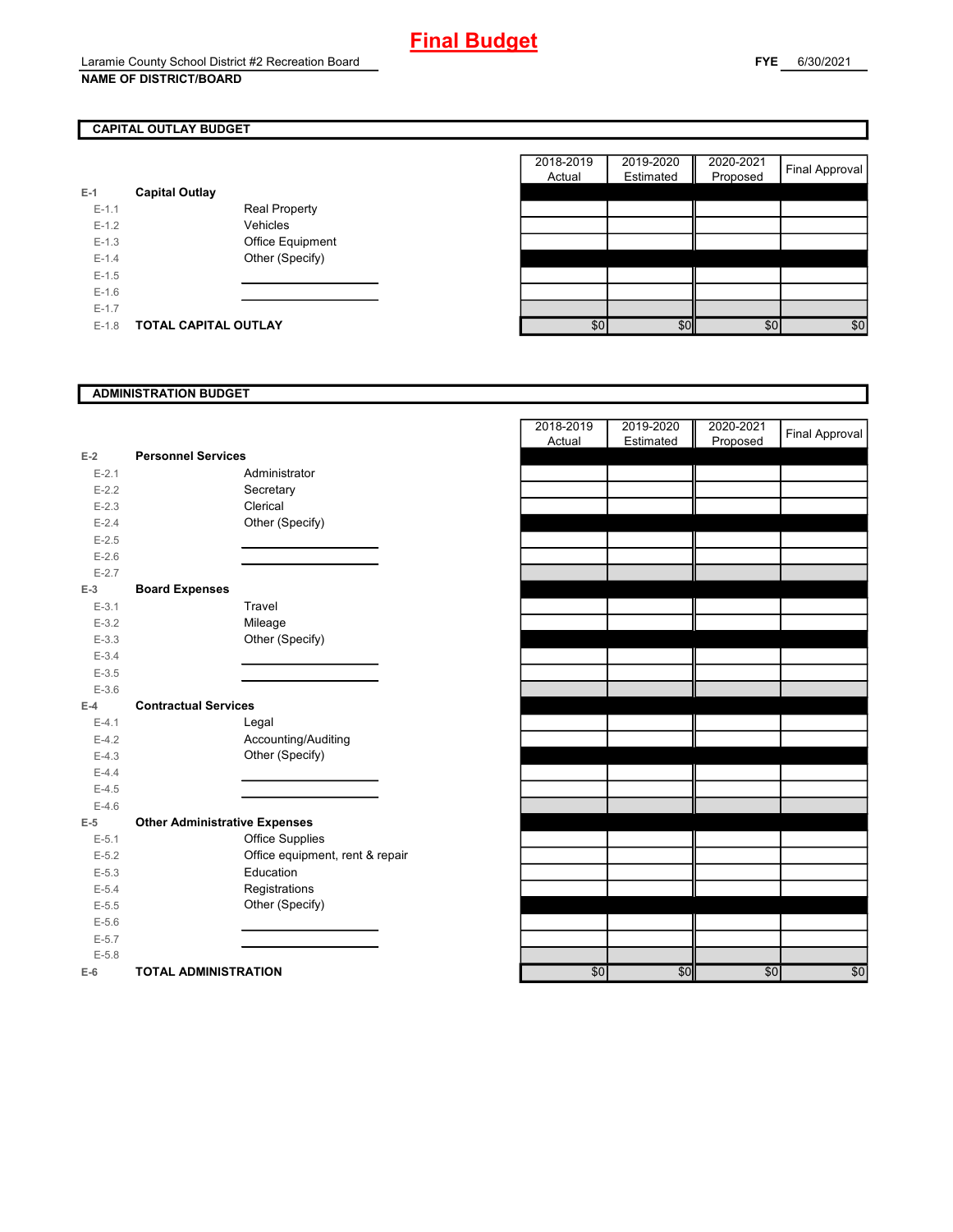### **NAME OF DISTRICT/BOARD**

### **CAPITAL OUTLAY BUDGET**

Г

| E-1     | <b>Capital Outlay</b> |                         |
|---------|-----------------------|-------------------------|
| $F-11$  |                       | <b>Real Property</b>    |
| $F-12$  |                       | Vehicles                |
| $F-1.3$ |                       | <b>Office Equipment</b> |
| $F-14$  |                       | Other (Specify)         |
| $F-1.5$ |                       |                         |
| $F-16$  |                       |                         |
| $F-17$  |                       |                         |
| $F-1.8$ | TOTAL CAPITAL OUTLAY  |                         |

| 2018-2019 | 2019-2020 | 2020-2021 |                       |
|-----------|-----------|-----------|-----------------------|
| Actual    | Estimated | Proposed  | <b>Final Approval</b> |
|           |           |           |                       |
|           |           |           |                       |
|           |           |           |                       |
|           |           |           |                       |
|           |           |           |                       |
|           |           |           |                       |
|           |           |           |                       |
|           |           |           |                       |
|           |           |           |                       |
| \$0       | ¢٢        | \$0       |                       |

### **ADMINISTRATION BUDGET**

| $E-2$     | <b>Personnel Services</b>            |                                 |
|-----------|--------------------------------------|---------------------------------|
| $E - 2.1$ |                                      | Administrator                   |
| $E - 2.2$ |                                      | Secretary                       |
| $E - 2.3$ |                                      | Clerical                        |
| $E - 2.4$ |                                      | Other (Specify)                 |
| $E-2.5$   |                                      |                                 |
| $E-2.6$   |                                      |                                 |
| $E - 2.7$ |                                      |                                 |
| $E-3$     | <b>Board Expenses</b>                |                                 |
| $E - 3.1$ |                                      | Travel                          |
| $E - 3.2$ |                                      | Mileage                         |
| $E - 3.3$ |                                      | Other (Specify)                 |
| $E - 3.4$ |                                      |                                 |
| $E - 3.5$ |                                      |                                 |
| $E - 3.6$ |                                      |                                 |
| $E-4$     | <b>Contractual Services</b>          |                                 |
| $E - 4.1$ |                                      | Legal                           |
| $E-4.2$   |                                      | Accounting/Auditing             |
| $E-4.3$   |                                      | Other (Specify)                 |
| $E - 4.4$ |                                      |                                 |
| $E-4.5$   |                                      |                                 |
| $E-4.6$   |                                      |                                 |
| E-5       | <b>Other Administrative Expenses</b> |                                 |
| $E-5.1$   |                                      | <b>Office Supplies</b>          |
| $E-5.2$   |                                      | Office equipment, rent & repair |
| $E - 5.3$ |                                      | Education                       |
| $E - 5.4$ |                                      | Registrations                   |
| $E - 5.5$ |                                      | Other (Specify)                 |
| $E - 5.6$ |                                      |                                 |
| $E-5.7$   |                                      |                                 |
| $E - 5.8$ |                                      |                                 |
| E-6 —     | <b>TOTAL ADMINISTRATION</b>          |                                 |

|           |                                      |  | 2018-2019  | 2019-2020 | 2020-2021 |                       |
|-----------|--------------------------------------|--|------------|-----------|-----------|-----------------------|
|           |                                      |  | Actual     | Estimated | Proposed  | <b>Final Approval</b> |
| $E-2$     | <b>Personnel Services</b>            |  |            |           |           |                       |
| $E - 2.1$ | Administrator                        |  |            |           |           |                       |
| $E-2.2$   | Secretary                            |  |            |           |           |                       |
| $E-2.3$   | Clerical                             |  |            |           |           |                       |
| $E - 2.4$ | Other (Specify)                      |  |            |           |           |                       |
| $E - 2.5$ |                                      |  |            |           |           |                       |
| $E-2.6$   |                                      |  |            |           |           |                       |
| $E-2.7$   |                                      |  |            |           |           |                       |
| $E-3$     | <b>Board Expenses</b>                |  |            |           |           |                       |
| $E-3.1$   | Travel                               |  |            |           |           |                       |
| $E-3.2$   | Mileage                              |  |            |           |           |                       |
| $E-3.3$   | Other (Specify)                      |  |            |           |           |                       |
| $E-3.4$   |                                      |  |            |           |           |                       |
| $E-3.5$   |                                      |  |            |           |           |                       |
| $E - 3.6$ |                                      |  |            |           |           |                       |
| $E-4$     | <b>Contractual Services</b>          |  |            |           |           |                       |
| $E - 4.1$ | Legal                                |  |            |           |           |                       |
| $E - 4.2$ | Accounting/Auditing                  |  |            |           |           |                       |
| $E-4.3$   | Other (Specify)                      |  |            |           |           |                       |
| $E-4.4$   |                                      |  |            |           |           |                       |
| $E - 4.5$ |                                      |  |            |           |           |                       |
| $E-4.6$   |                                      |  |            |           |           |                       |
| $E-5$     | <b>Other Administrative Expenses</b> |  |            |           |           |                       |
| $E-5.1$   | <b>Office Supplies</b>               |  |            |           |           |                       |
| $E-5.2$   | Office equipment, rent & repair      |  |            |           |           |                       |
| $E-5.3$   | Education                            |  |            |           |           |                       |
| $E-5.4$   | Registrations                        |  |            |           |           |                       |
| $E-5.5$   | Other (Specify)                      |  |            |           |           |                       |
| $E - 5.6$ |                                      |  |            |           |           |                       |
| $E-5.7$   |                                      |  |            |           |           |                       |
| $E-5.8$   |                                      |  |            |           |           |                       |
| $E-6$     | <b>TOTAL ADMINISTRATION</b>          |  | $\sqrt{6}$ | \$0       | \$0       | \$0                   |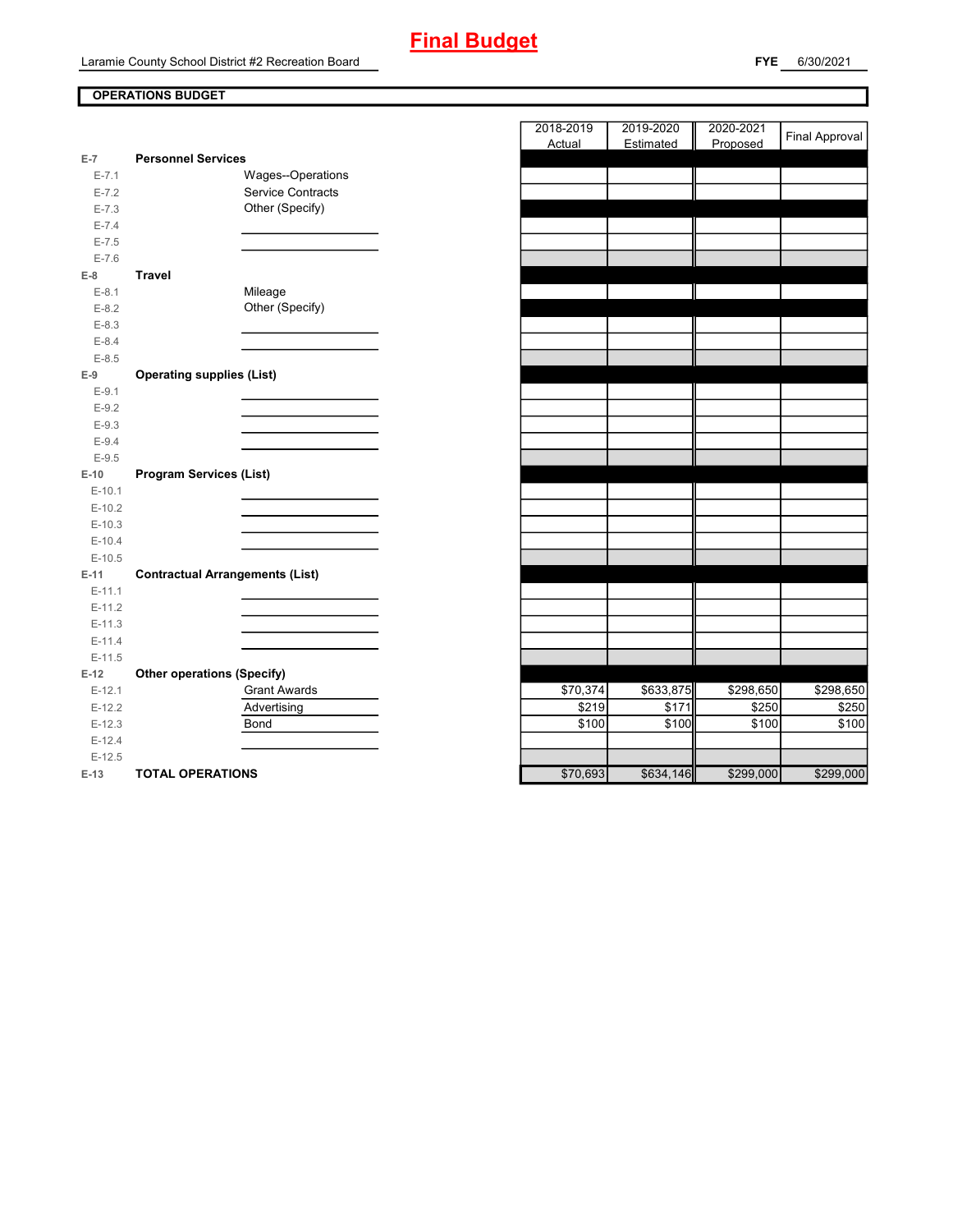### **OPERATIONS BUDGET**

| $E-7$     | <b>Personnel Services</b>              |                          |
|-----------|----------------------------------------|--------------------------|
| $E - 7.1$ |                                        | Wages--Operations        |
| $E - 7.2$ |                                        | <b>Service Contracts</b> |
| $E - 7.3$ |                                        | Other (Specify)          |
| $E - 7.4$ |                                        |                          |
| $E - 7.5$ |                                        |                          |
| $E - 7.6$ |                                        |                          |
| $E-8$     | Travel                                 |                          |
| $E-8.1$   |                                        | Mileage                  |
| $E-8.2$   |                                        | Other (Specify)          |
| $E-8.3$   |                                        |                          |
| $E-8.4$   |                                        |                          |
| $E - 8.5$ |                                        |                          |
| $E-9$     | <b>Operating supplies (List)</b>       |                          |
| $E-9.1$   |                                        |                          |
| $E-9.2$   |                                        |                          |
| $E-9.3$   |                                        |                          |
| $E-9.4$   |                                        |                          |
| $E-9.5$   |                                        |                          |
| $E-10$    | <b>Program Services (List)</b>         |                          |
| $E-10.1$  |                                        |                          |
| $E-10.2$  |                                        |                          |
| $E-10.3$  |                                        |                          |
| $E-10.4$  |                                        |                          |
| $E-10.5$  |                                        |                          |
| $E-11$    | <b>Contractual Arrangements (List)</b> |                          |
| $E-11.1$  |                                        |                          |
| $E-11.2$  |                                        |                          |
| $E-11.3$  |                                        |                          |
| $E-11.4$  |                                        |                          |
| $E-11.5$  |                                        |                          |
| $E-12$    | <b>Other operations (Specify)</b>      |                          |
| $E-12.1$  |                                        | <b>Grant Awards</b>      |
| $E-12.2$  |                                        | Advertising              |
| $E-12.3$  |                                        | Bond                     |
| $E-12.4$  |                                        |                          |
| $E-12.5$  |                                        |                          |
| $\Box$ 42 | TOTAL ODEDATIONS                       |                          |

|           |                                        | 2018-2019            | 2019-2020 | 2020-2021 |                       |
|-----------|----------------------------------------|----------------------|-----------|-----------|-----------------------|
|           |                                        | Actual               | Estimated | Proposed  | <b>Final Approval</b> |
| $E-7$     | <b>Personnel Services</b>              |                      |           |           |                       |
| $E - 7.1$ | Wages--Operations                      |                      |           |           |                       |
| $E - 7.2$ | Service Contracts                      |                      |           |           |                       |
| $E - 7.3$ | Other (Specify)                        |                      |           |           |                       |
| $E - 7.4$ |                                        |                      |           |           |                       |
| $E - 7.5$ |                                        |                      |           |           |                       |
| $E - 7.6$ |                                        |                      |           |           |                       |
| $E-8$     | <b>Travel</b>                          |                      |           |           |                       |
| $E-8.1$   | Mileage                                |                      |           |           |                       |
| $E-8.2$   | Other (Specify)                        |                      |           |           |                       |
| $E-8.3$   |                                        |                      |           |           |                       |
| $E-8.4$   |                                        |                      |           |           |                       |
| $E-8.5$   |                                        |                      |           |           |                       |
| $E-9$     | <b>Operating supplies (List)</b>       |                      |           |           |                       |
| $E-9.1$   |                                        |                      |           |           |                       |
| $E-9.2$   |                                        |                      |           |           |                       |
| $E-9.3$   |                                        |                      |           |           |                       |
| $E-9.4$   |                                        |                      |           |           |                       |
| $E-9.5$   |                                        |                      |           |           |                       |
| $E-10$    | <b>Program Services (List)</b>         |                      |           |           |                       |
| $E-10.1$  |                                        |                      |           |           |                       |
| $E-10.2$  |                                        |                      |           |           |                       |
| $E-10.3$  |                                        |                      |           |           |                       |
| $E-10.4$  |                                        |                      |           |           |                       |
| $E-10.5$  |                                        |                      |           |           |                       |
| E-11      | <b>Contractual Arrangements (List)</b> |                      |           |           |                       |
| $E-11.1$  |                                        |                      |           |           |                       |
| $E-11.2$  |                                        |                      |           |           |                       |
| $E-11.3$  |                                        |                      |           |           |                       |
| $E-11.4$  |                                        |                      |           |           |                       |
| $E-11.5$  |                                        |                      |           |           |                       |
| $E-12$    | <b>Other operations (Specify)</b>      |                      |           |           |                       |
| $E-12.1$  | <b>Grant Awards</b>                    | $\overline{$}70,374$ | \$633,875 | \$298,650 | $\overline{$}298,650$ |
| $E-12.2$  | Advertising                            | \$219                | \$171     | \$250     | \$250                 |
| $E-12.3$  | <b>Bond</b>                            | \$100                | \$100     | \$100     | \$100                 |
| $E-12.4$  |                                        |                      |           |           |                       |
| $E-12.5$  |                                        |                      |           |           |                       |
| $E-13$    | <b>TOTAL OPERATIONS</b>                | \$70,693             | \$634,146 | \$299,000 | \$299,000             |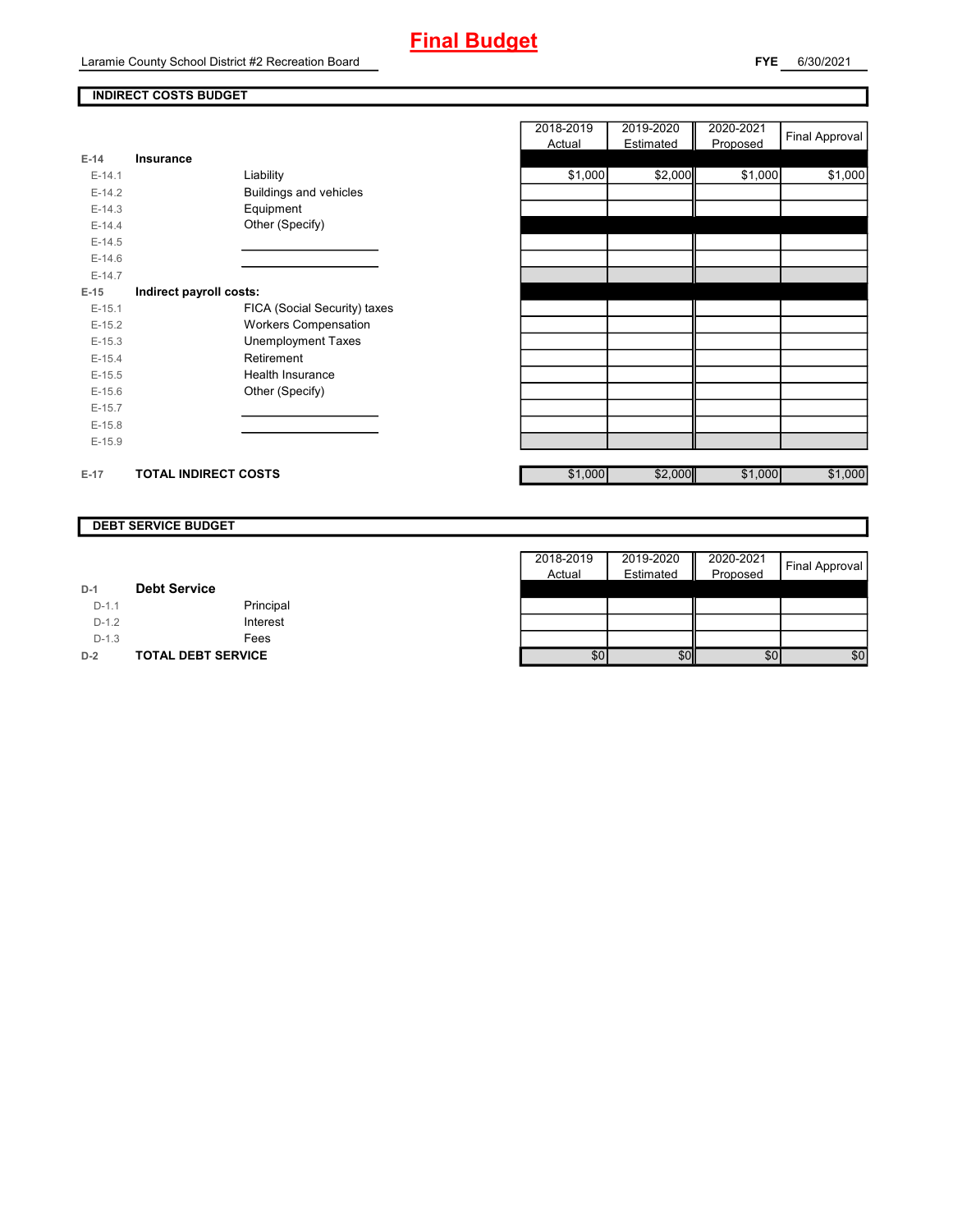## **Final Budget**

Laramie County School District #2 Recreation Board

**FYE** 6/30/2021

### **INDIRECT COSTS BUDGET**

| $E-14$   | Insurance                   |                               |
|----------|-----------------------------|-------------------------------|
| $F-14.1$ | Liability                   |                               |
| $E-14.2$ |                             | <b>Buildings and vehicles</b> |
| $E-14.3$ |                             | Equipment                     |
| $F-144$  |                             | Other (Specify)               |
| $F-14.5$ |                             |                               |
| $F-146$  |                             |                               |
| $F-147$  |                             |                               |
| $E-15$   | Indirect payroll costs:     |                               |
| $F-151$  |                             | FICA (Social Security) taxes  |
| $E-15.2$ |                             | <b>Workers Compensation</b>   |
| $E-15.3$ |                             | Unemployment Taxes            |
| $F-154$  |                             | Retirement                    |
| $F-15.5$ |                             | Health Insurance              |
| $E-15.6$ |                             | Other (Specify)               |
| $E-15.7$ |                             |                               |
| $E-15.8$ |                             |                               |
| $E-15.9$ |                             |                               |
|          |                             |                               |
| F-17     | <b>TOTAL INDIRECT COSTS</b> |                               |

|          |                             |                               | 2018-2019<br><b>Actual</b> | 2019-2020<br>Estimated | 2020-2021<br>Proposed | <b>Final Approval</b> |
|----------|-----------------------------|-------------------------------|----------------------------|------------------------|-----------------------|-----------------------|
| 14       | <b>Insurance</b>            |                               |                            |                        |                       |                       |
| $E-14.1$ |                             | Liability                     | \$1,000                    | \$2,000                | \$1,000               | \$1,000               |
| $E-14.2$ |                             | <b>Buildings and vehicles</b> |                            |                        |                       |                       |
| $E-14.3$ |                             | Equipment                     |                            |                        |                       |                       |
| $E-14.4$ |                             | Other (Specify)               |                            |                        |                       |                       |
| $E-14.5$ |                             |                               |                            |                        |                       |                       |
| $E-14.6$ |                             |                               |                            |                        |                       |                       |
| $E-14.7$ |                             |                               |                            |                        |                       |                       |
| 15       | Indirect payroll costs:     |                               |                            |                        |                       |                       |
| $E-15.1$ |                             | FICA (Social Security) taxes  |                            |                        |                       |                       |
| $E-15.2$ |                             | <b>Workers Compensation</b>   |                            |                        |                       |                       |
| $E-15.3$ |                             | <b>Unemployment Taxes</b>     |                            |                        |                       |                       |
| $E-15.4$ |                             | Retirement                    |                            |                        |                       |                       |
| $E-15.5$ |                             | Health Insurance              |                            |                        |                       |                       |
| $E-15.6$ |                             | Other (Specify)               |                            |                        |                       |                       |
| $E-15.7$ |                             |                               |                            |                        |                       |                       |
| $E-15.8$ |                             |                               |                            |                        |                       |                       |
| $E-15.9$ |                             |                               |                            |                        |                       |                       |
|          |                             |                               |                            |                        |                       |                       |
| $-17$    | <b>TOTAL INDIRECT COSTS</b> |                               | \$1,000                    | \$2,000                | \$1,000               | \$1,000               |

### **DEBT SERVICE BUDGET**

|         |                           | 2018-2019 | 2019-2020 | Ш<br>2020-2021 | Final Approval |
|---------|---------------------------|-----------|-----------|----------------|----------------|
|         |                           | Actual    | Estimated | Proposed       |                |
| $D-1$   | <b>Debt Service</b>       |           |           |                |                |
| $D-1.1$ | Principal                 |           |           |                |                |
| $D-1.2$ | Interest                  |           |           |                |                |
| $D-1.3$ | Fees                      |           |           |                |                |
| $D-2$   | <b>TOTAL DEBT SERVICE</b> | \$0       | \$0       | 10             | \$0            |